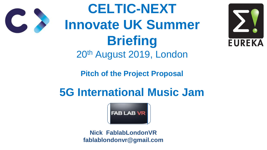## **Pitch of the Project Proposal**

# **5G International Music Jam**



**CELTIC-NEXT Innovate UK Summer Briefing** 20th August 2019, London

> **Nick FablabLondonVR fablablondonvr@gmail.com**



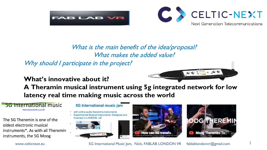

#### What is the main benefit of the idea/proposal? What makes the added value? Why should I participate in the project?

#### **What's innovative about it? A Theramin musical instrument using 5g integrated network for low latency real time making music across the world**

#### **5G International music**

https://youtu.be/mB w-ml-dZY

The 5G Theremin is one of the oldest electronic musical instruments\*. As with all Theremin instruments, the 5G Moog

#### **5G International music jam**

- with online audio theramins instruments
- **Experimental Musical Instruments : Designed and** Invented in LONDON, UK



www.celticnext.eu **5G International Music Jam, Nick, FABLAB LONDON VR** fablablondonvr@gmail.com





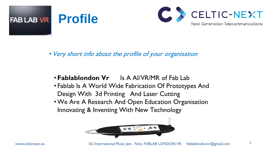



#### • Very short info about the profile of your organisation

### •**Fablablondon Vr** Is A AI/VR/MR of Fab Lab • Fablab Is A World Wide Fabrication Of Prototypes And Design With 3d Printing And Laser Cutting •We Are A Research And Open Education Organisation Innovating & Inventing With New Technology

- 
- 



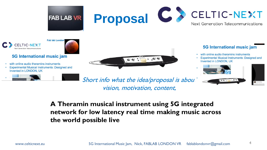





#### **5G International music jam**

- with online audio theramins instruments
- **Experimental Musical Instruments : Designed and** Invented in LONDON, UK







Short info what the idea/proposal is about vision, motivation, content,

## **A Theramin musical instrument using 5G integrated network for low latency real time making music across the world possible live**



#### **5G International music jam**

- with online audio theramins instruments
- **Experimental Musical Instruments : Designed and** Invented in LONDON, UK

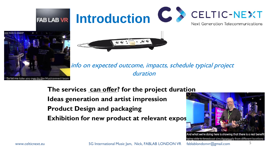

#### info on expected outcome, impacts, schedule typical project duration

- 
- 
- 



www.celticnext.eu **5G International Music Jam, Nick, FABLAB LONDON VR** fablablondonvr@gmail.com

## **The services can offer? for the project duration Ideas generation and artist impression Product Design and packaging Exhibition for new product at relevant expos**

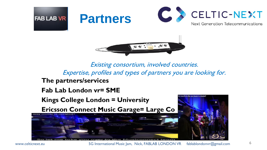

# FAB LAB VR Partners



Existing consortium, involved countries. Expertise, profiles and types of partners you are looking for.

# **The partners/services Fab Lab London vr= SME**



www.celticnext.eu **5G International Music Jam, Nick, FABLAB LONDON VR** fablablondonvr@gmail.com

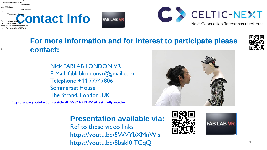

## **For more information and for interest to participate please contact:**

Nick FABLAB LONDON VR E-Mail: fablablondonvr@gmail.com Telephone +44 77747806 Sommerset House The Strand, London ,UK

> **Presentation available via:**  Ref to these video links https://youtu.be/5WVYbXMnWjs https://youtu.be/8bakI0ITCqQ









[https://www.youtube.com/watch?v=5WVYbXMnWjs&feature=youtu.be](#page-7-0)

E-Mail: fablablondonvr@gmail.com Telephone +44 77747806 Sommerset House Presentation available via: Ref to these video links https://youtu.be/5WVYbXMnWjs

https://youtu.be/8bakI0ITCqQ

7

The Strand, London ,UK<br>Presentation available via:<br>Ref to these video links